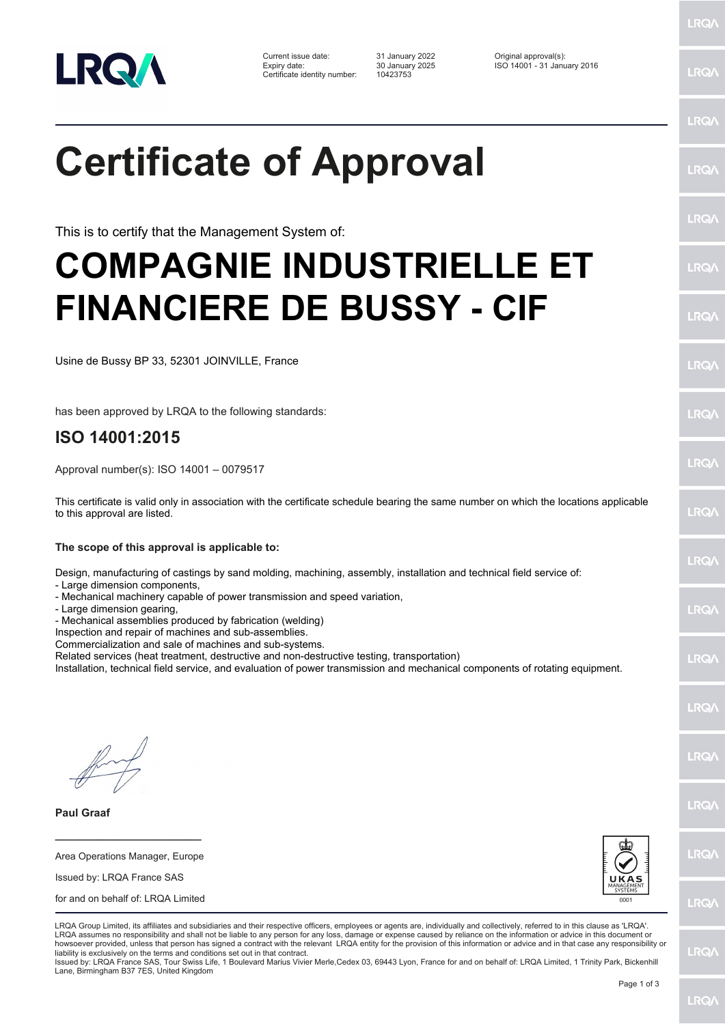

Certificate identity number: 10423753

Current issue date: 31 January 2022 Original approval(s): Expiry date: 30 January 2025 ISO 14001 - 31 January 2016

**Certificate of Approval**

This is to certify that the Management System of:

## **COMPAGNIE INDUSTRIELLE ET FINANCIERE DE BUSSY - CIF**

Usine de Bussy BP 33, 52301 JOINVILLE, France

has been approved by LRQA to the following standards:

## **ISO 14001:2015**

Approval number(s): ISO 14001 – 0079517

This certificate is valid only in association with the certificate schedule bearing the same number on which the locations applicable to this approval are listed.

**The scope of this approval is applicable to:**

Design, manufacturing of castings by sand molding, machining, assembly, installation and technical field service of:

- Large dimension components,
- Mechanical machinery capable of power transmission and speed variation,
- Large dimension gearing,

- Mechanical assemblies produced by fabrication (welding)

Inspection and repair of machines and sub-assemblies.

Commercialization and sale of machines and sub-systems.

Related services (heat treatment, destructive and non-destructive testing, transportation)

Installation, technical field service, and evaluation of power transmission and mechanical components of rotating equipment.

**Paul Graaf**

Area Operations Manager, Europe Issued by: LRQA France SAS

**\_\_\_\_\_\_\_\_\_\_\_\_\_\_\_\_\_\_\_\_\_\_\_\_**

for and on behalf of: LRQA Limited



LRQA Group Limited, its affiliates and subsidiaries and their respective officers, employees or agents are, individually and collectively, referred to in this clause as 'LRQA'. LRQA assumes no responsibility and shall not be liable to any person for any loss, damage or expense caused by reliance on the information or advice in this document or howsoever provided, unless that person has signed a contract with the relevant LRQA entity for the provision of this information or advice and in that case any responsibility or liability is exclusively on the terms and conditions set out in that contract.

Issued by: LRQA France SAS, Tour Swiss Life, 1 Boulevard Marius Vivier Merle,Cedex 03, 69443 Lyon, France for and on behalf of: LRQA Limited, 1 Trinity Park, Bickenhill Lane, Birmingham B37 7ES, United Kingdom

LRQ/

LRQ/

LRQ/

LRQ/

LRQ/

LRQ/

LRQ/

LRQ/

LRQ/

**IRQ** 

LRQ/

LRQ/

LRQ/

LRQ/

**IRQ** 

**LRO/** 

LRQ/

LRQ/

**LRQ/** 

LRQ/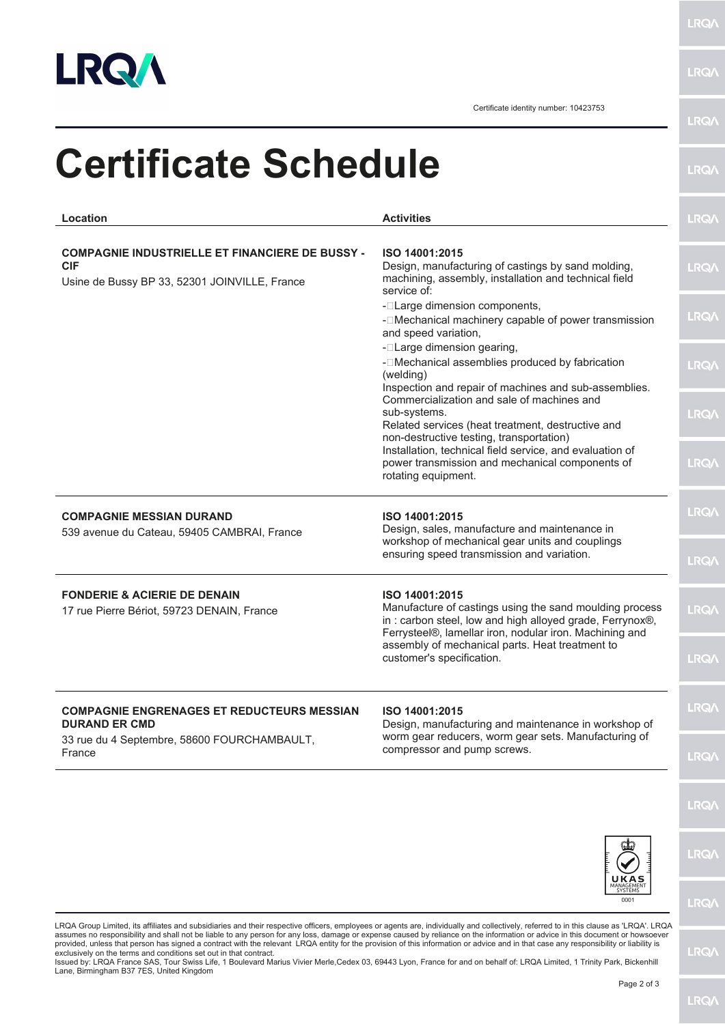

**LRQA** 

**LRQA** 

Certificate identity number: 10423753

| Location                                                                                                              | <b>Activities</b>                                                                                                                                                                                | <b>LRQA</b>  |
|-----------------------------------------------------------------------------------------------------------------------|--------------------------------------------------------------------------------------------------------------------------------------------------------------------------------------------------|--------------|
| <b>COMPAGNIE INDUSTRIELLE ET FINANCIERE DE BUSSY -</b><br><b>CIF</b><br>Usine de Bussy BP 33, 52301 JOINVILLE, France | ISO 14001:2015<br>Design, manufacturing of castings by sand molding,<br>machining, assembly, installation and technical field<br>service of:                                                     | <b>LRQA</b>  |
|                                                                                                                       | - <sup>[</sup> Large dimension components,<br>-   IMechanical machinery capable of power transmission<br>and speed variation,                                                                    | <b>LRQ/\</b> |
|                                                                                                                       | - <b>ILarge dimension gearing,</b><br>- <sup>[</sup> Mechanical assemblies produced by fabrication<br>(welding)                                                                                  | <b>LRQA</b>  |
|                                                                                                                       | Inspection and repair of machines and sub-assemblies.<br>Commercialization and sale of machines and<br>sub-systems.<br>Related services (heat treatment, destructive and                         | <b>LRQA</b>  |
|                                                                                                                       | non-destructive testing, transportation)<br>Installation, technical field service, and evaluation of<br>power transmission and mechanical components of<br>rotating equipment.                   | <b>LRQA</b>  |
| <b>COMPAGNIE MESSIAN DURAND</b><br>539 avenue du Cateau, 59405 CAMBRAI, France                                        | ISO 14001:2015<br>Design, sales, manufacture and maintenance in                                                                                                                                  | <b>LRQ/</b>  |
|                                                                                                                       | workshop of mechanical gear units and couplings<br>ensuring speed transmission and variation.                                                                                                    | <b>LRQA</b>  |
| <b>FONDERIE &amp; ACIERIE DE DENAIN</b><br>17 rue Pierre Bériot, 59723 DENAIN, France                                 | ISO 14001:2015<br>Manufacture of castings using the sand moulding process<br>in: carbon steel, low and high alloyed grade, Ferrynox®,<br>Ferrysteel®, lamellar iron, nodular iron. Machining and | <b>LRQA</b>  |
|                                                                                                                       | assembly of mechanical parts. Heat treatment to<br>customer's specification.                                                                                                                     | <b>LRQA</b>  |
| <b>COMPAGNIE ENGRENAGES ET REDUCTEURS MESSIAN</b><br><b>DURAND ER CMD</b>                                             | ISO 14001:2015<br>Design, manufacturing and maintenance in workshop of                                                                                                                           | <b>LRQA</b>  |
| 33 rue du 4 Septembre, 58600 FOURCHAMBAULT,<br>France                                                                 | worm gear reducers, worm gear sets. Manufacturing of<br>compressor and pump screws.                                                                                                              | <b>LRQ/</b>  |
|                                                                                                                       |                                                                                                                                                                                                  | <b>LRQ/\</b> |
|                                                                                                                       |                                                                                                                                                                                                  | <b>LRQA</b>  |
|                                                                                                                       | UKAS<br>MANAGEME<br>SYSTEMS<br>0001                                                                                                                                                              | <b>LRQ/</b>  |

LRQA Group Limited, its affiliates and subsidiaries and their respective officers, employees or agents are, individually and collectively, referred to in this clause as 'LRQA'. LRQA<br>assumes no responsibility and shall not

**LRQA**